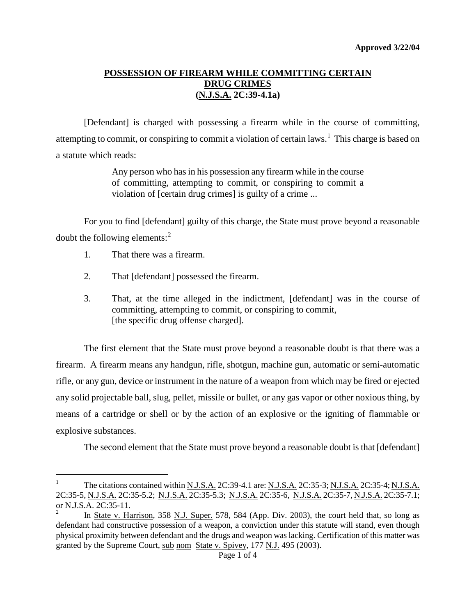## **POSSESSION OF FIREARM WHILE COMMITTING CERTAIN DRUG CRIMES (N.J.S.A. 2C:39-4.1a)**

[Defendant] is charged with possessing a firearm while in the course of committing, attempting to commit, or conspiring to commit a violation of certain laws.<sup>[1](#page-1-0)</sup> This charge is based on a statute which reads:

> Any person who has in his possession any firearm while in the course of committing, attempting to commit, or conspiring to commit a violation of [certain drug crimes] is guilty of a crime ...

For you to find [defendant] guilty of this charge, the State must prove beyond a reasonable doubt the following elements:[2](#page-0-0)

1. That there was a firearm.

÷,

- 2. That [defendant] possessed the firearm.
- 3. That, at the time alleged in the indictment, [defendant] was in the course of committing, attempting to commit, or conspiring to commit, [the specific drug offense charged].

The first element that the State must prove beyond a reasonable doubt is that there was a firearm. A firearm means any handgun, rifle, shotgun, machine gun, automatic or semi-automatic rifle, or any gun, device or instrument in the nature of a weapon from which may be fired or ejected any solid projectable ball, slug, pellet, missile or bullet, or any gas vapor or other noxious thing, by means of a cartridge or shell or by the action of an explosive or the igniting of flammable or explosive substances.

The second element that the State must prove beyond a reasonable doubt is that [defendant]

<sup>&</sup>lt;sup>1</sup> The citations contained within <u>N.J.S.A.</u> 2C:39-4.1 are: <u>N.J.S.A.</u> 2C:35-3; <u>N.J.S.A.</u> 2C:35-4; <u>N.J.S.A.</u> 2C:35-5, N.J.S.A. 2C:35-5.2; N.J.S.A. 2C:35-5.3; N.J.S.A. 2C:35-6, N.J.S.A. 2C:35-7, N.J.S.A. 2C:35-7.1; or N.J.S.A. 2C:35-11.

<span id="page-0-1"></span><span id="page-0-0"></span><sup>2</sup> In State v. Harrison, 358 N.J. Super. 578, 584 (App. Div. 2003), the court held that, so long as defendant had constructive possession of a weapon, a conviction under this statute will stand, even though physical proximity between defendant and the drugs and weapon was lacking. Certification of this matter was granted by the Supreme Court, sub nom State v. Spivey, 177 N.J. 495 (2003).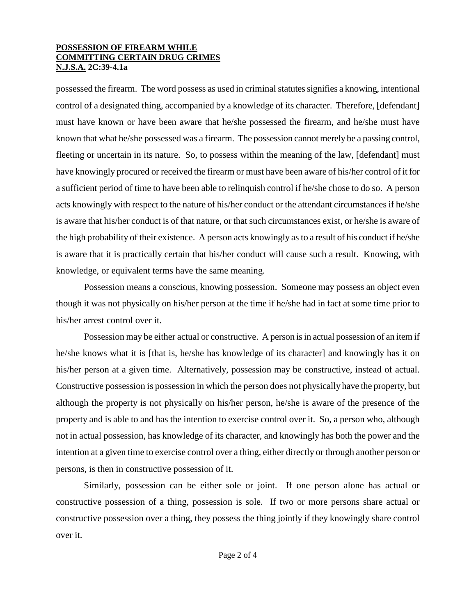#### **POSSESSION OF FIREARM WHILE COMMITTING CERTAIN DRUG CRIMES N.J.S.A. 2C:39-4.1a**

possessed the firearm. The word possess as used in criminal statutes signifies a knowing, intentional control of a designated thing, accompanied by a knowledge of its character. Therefore, [defendant] must have known or have been aware that he/she possessed the firearm, and he/she must have known that what he/she possessed was a firearm. The possession cannot merely be a passing control, fleeting or uncertain in its nature. So, to possess within the meaning of the law, [defendant] must have knowingly procured or received the firearm or must have been aware of his/her control of it for a sufficient period of time to have been able to relinquish control if he/she chose to do so. A person acts knowingly with respect to the nature of his/her conduct or the attendant circumstances if he/she is aware that his/her conduct is of that nature, or that such circumstances exist, or he/she is aware of the high probability of their existence. A person acts knowingly as to a result of his conduct if he/she is aware that it is practically certain that his/her conduct will cause such a result. Knowing, with knowledge, or equivalent terms have the same meaning.

Possession means a conscious, knowing possession. Someone may possess an object even though it was not physically on his/her person at the time if he/she had in fact at some time prior to his/her arrest control over it.

Possession may be either actual or constructive. A person is in actual possession of an item if he/she knows what it is [that is, he/she has knowledge of its character] and knowingly has it on his/her person at a given time. Alternatively, possession may be constructive, instead of actual. Constructive possession is possession in which the person does not physically have the property, but although the property is not physically on his/her person, he/she is aware of the presence of the property and is able to and has the intention to exercise control over it. So, a person who, although not in actual possession, has knowledge of its character, and knowingly has both the power and the intention at a given time to exercise control over a thing, either directly or through another person or persons, is then in constructive possession of it.

<span id="page-1-0"></span>Similarly, possession can be either sole or joint. If one person alone has actual or constructive possession of a thing, possession is sole. If two or more persons share actual or constructive possession over a thing, they possess the thing jointly if they knowingly share control over it.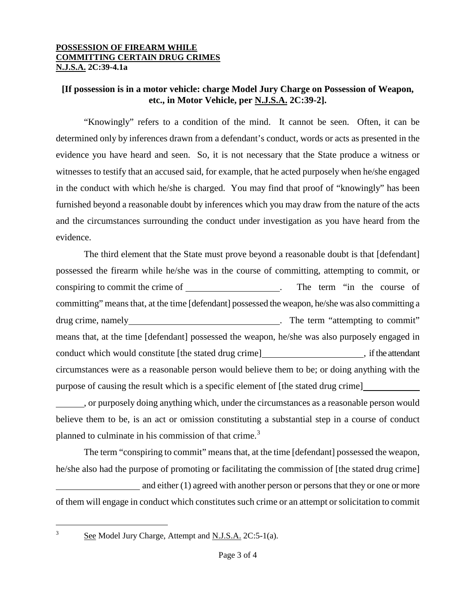#### **POSSESSION OF FIREARM WHILE COMMITTING CERTAIN DRUG CRIMES N.J.S.A. 2C:39-4.1a**

# **[If possession is in a motor vehicle: charge Model Jury Charge on Possession of Weapon, etc., in Motor Vehicle, per N.J.S.A. 2C:39-2].**

"Knowingly" refers to a condition of the mind. It cannot be seen. Often, it can be determined only by inferences drawn from a defendant's conduct, words or acts as presented in the evidence you have heard and seen. So, it is not necessary that the State produce a witness or witnesses to testify that an accused said, for example, that he acted purposely when he/she engaged in the conduct with which he/she is charged. You may find that proof of "knowingly" has been furnished beyond a reasonable doubt by inferences which you may draw from the nature of the acts and the circumstances surrounding the conduct under investigation as you have heard from the evidence.

The third element that the State must prove beyond a reasonable doubt is that [defendant] possessed the firearm while he/she was in the course of committing, attempting to commit, or conspiring to commit the crime of . The term "in the course of committing" means that, at the time [defendant] possessed the weapon, he/she was also committing a drug crime, namely **example 2** The term "attempting to commit" means that, at the time [defendant] possessed the weapon, he/she was also purposely engaged in conduct which would constitute [the stated drug crime] , if the attendant circumstances were as a reasonable person would believe them to be; or doing anything with the purpose of causing the result which is a specific element of [the stated drug crime]

, or purposely doing anything which, under the circumstances as a reasonable person would believe them to be, is an act or omission constituting a substantial step in a course of conduct planned to culminate in his commission of that crime.<sup>[3](#page-0-1)</sup>

The term "conspiring to commit" means that, at the time [defendant] possessed the weapon, he/she also had the purpose of promoting or facilitating the commission of [the stated drug crime]

and either (1) agreed with another person or personsthat they or one or more of them will engage in conduct which constitutes such crime or an attempt or solicitation to commit

<span id="page-2-0"></span> $\mathfrak{Z}$ 

See Model Jury Charge, Attempt and N.J.S.A. 2C:5-1(a).